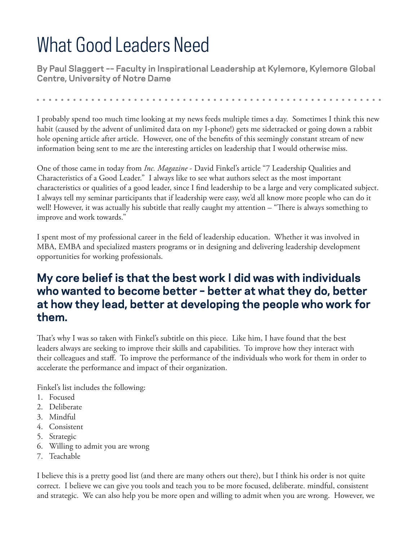## What Good Leaders Need

**By Paul Slaggert –– Faculty in Inspirational Leadership at Kylemore, Kylemore Global Centre, University of Notre Dame**

I probably spend too much time looking at my news feeds multiple times a day. Sometimes I think this new habit (caused by the advent of unlimited data on my I-phone!) gets me sidetracked or going down a rabbit hole opening article after article. However, one of the benefits of this seemingly constant stream of new information being sent to me are the interesting articles on leadership that I would otherwise miss.

One of those came in today from *Inc. Magazine* - David Finkel's article "7 Leadership Qualities and Characteristics of a Good Leader." I always like to see what authors select as the most important characteristics or qualities of a good leader, since I find leadership to be a large and very complicated subject. I always tell my seminar participants that if leadership were easy, we'd all know more people who can do it well! However, it was actually his subtitle that really caught my attention – "There is always something to improve and work towards."

I spent most of my professional career in the field of leadership education. Whether it was involved in MBA, EMBA and specialized masters programs or in designing and delivering leadership development opportunities for working professionals.

## **My core belief is that the best work I did was with individuals who wanted to become better – better at what they do, better at how they lead, better at developing the people who work for them.**

That's why I was so taken with Finkel's subtitle on this piece. Like him, I have found that the best leaders always are seeking to improve their skills and capabilities. To improve how they interact with their colleagues and staff. To improve the performance of the individuals who work for them in order to accelerate the performance and impact of their organization.

Finkel's list includes the following:

- 1. Focused
- 2. Deliberate
- 3. Mindful
- 4. Consistent
- 5. Strategic
- 6. Willing to admit you are wrong
- 7. Teachable

I believe this is a pretty good list (and there are many others out there), but I think his order is not quite correct. I believe we can give you tools and teach you to be more focused, deliberate. mindful, consistent and strategic. We can also help you be more open and willing to admit when you are wrong. However, we